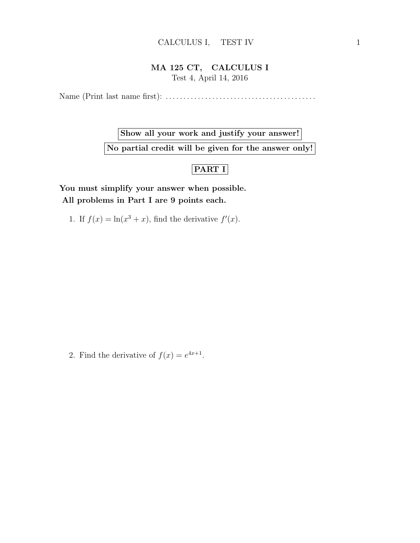## MA 125 CT, CALCULUS I Test 4, April 14, 2016

Name (Print last name first): . . . . . . . . . . . . . . . . . . . . . . . . . . . . . . . . . . . . . . . . . .

Show all your work and justify your answer! No partial credit will be given for the answer only!

## PART I

You must simplify your answer when possible. All problems in Part I are 9 points each.

1. If  $f(x) = \ln(x^3 + x)$ , find the derivative  $f'(x)$ .

2. Find the derivative of  $f(x) = e^{4x+1}$ .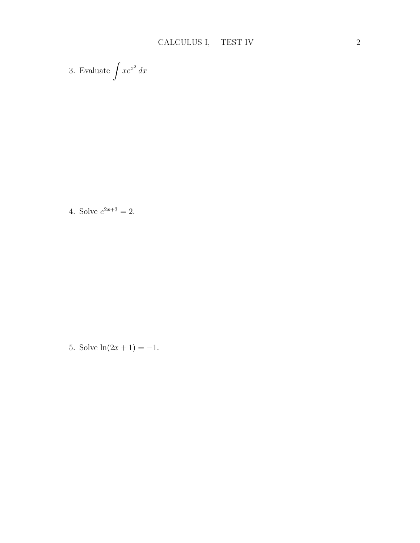3. Evaluate 
$$
\int xe^{x^2} dx
$$

4. Solve  $e^{2x+3} = 2$ .

5. Solve  $ln(2x + 1) = -1$ .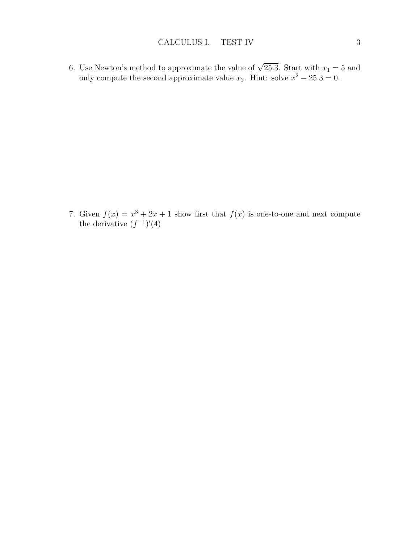6. Use Newton's method to approximate the value of  $\sqrt{25.3}$ . Start with  $x_1 = 5$  and only compute the second approximate value  $x_2$ . Hint: solve  $x^2 - 25.3 = 0$ .

7. Given  $f(x) = x^3 + 2x + 1$  show first that  $f(x)$  is one-to-one and next compute the derivative  $(f^{-1})'(4)$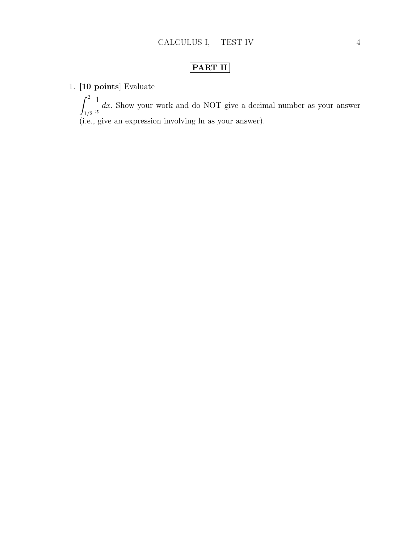## PART II

1. [10 points] Evaluate

 $\int_0^2$ 1/2 1  $\overline{x}$ dx. Show your work and do NOT give a decimal number as your answer (i.e., give an expression involving ln as your answer).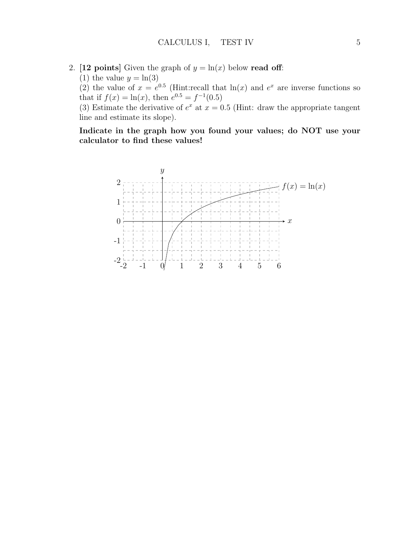- 2. [12 points] Given the graph of  $y = \ln(x)$  below read off:
	- (1) the value  $y = \ln(3)$

(2) the value of  $x = e^{0.5}$  (Hint:recall that  $\ln(x)$  and  $e^x$  are inverse functions so that if  $f(x) = \ln(x)$ , then  $e^{0.5} = f^{-1}(0.5)$ 

(3) Estimate the derivative of  $e^x$  at  $x = 0.5$  (Hint: draw the appropriate tangent line and estimate its slope).

Indicate in the graph how you found your values; do NOT use your calculator to find these values!

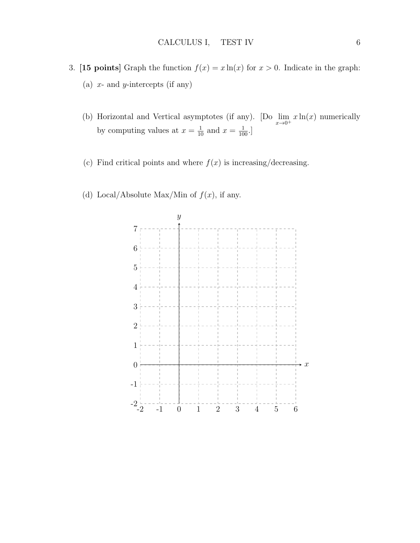- 3. [15 points] Graph the function  $f(x) = x \ln(x)$  for  $x > 0$ . Indicate in the graph: (a)  $x$ - and  $y$ -intercepts (if any)
	- (b) Horizontal and Vertical asymptotes (if any). [Do  $\lim_{x\to 0^+} x \ln(x)$  numerically by computing values at  $x = \frac{1}{10}$  and  $x = \frac{1}{100}$ .
	- (c) Find critical points and where  $f(x)$  is increasing/decreasing.
	- (d) Local/Absolute Max/Min of  $f(x)$ , if any.